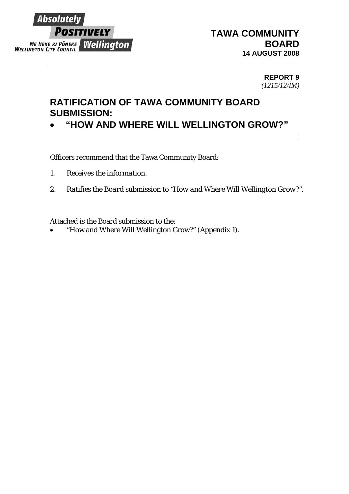

## **REPORT 9**  *(1215/12/IM)*

## **RATIFICATION OF TAWA COMMUNITY BOARD SUBMISSION:**

• **"HOW AND WHERE WILL WELLINGTON GROW?"** 

Officers recommend that the Tawa Community Board:

- *1. Receives the information.*
- *2. Ratifies the Board submission to "How and Where Will Wellington Grow?".*

Attached is the Board submission to the:

• "How and Where Will Wellington Grow?" (Appendix 1).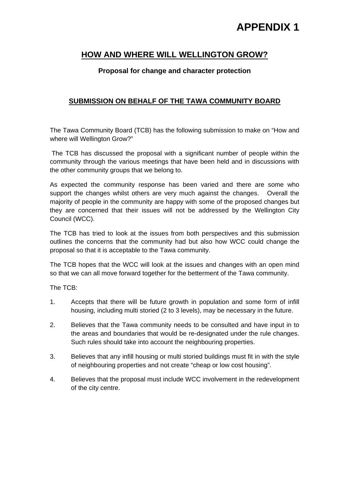# **APPENDIX 1**

## **HOW AND WHERE WILL WELLINGTON GROW?**

## **Proposal for change and character protection**

## **SUBMISSION ON BEHALF OF THE TAWA COMMUNITY BOARD**

The Tawa Community Board (TCB) has the following submission to make on "How and where will Wellington Grow?"

 The TCB has discussed the proposal with a significant number of people within the community through the various meetings that have been held and in discussions with the other community groups that we belong to.

As expected the community response has been varied and there are some who support the changes whilst others are very much against the changes. Overall the majority of people in the community are happy with some of the proposed changes but they are concerned that their issues will not be addressed by the Wellington City Council (WCC).

The TCB has tried to look at the issues from both perspectives and this submission outlines the concerns that the community had but also how WCC could change the proposal so that it is acceptable to the Tawa community.

The TCB hopes that the WCC will look at the issues and changes with an open mind so that we can all move forward together for the betterment of the Tawa community.

The TCB:

- 1. Accepts that there will be future growth in population and some form of infill housing, including multi storied (2 to 3 levels), may be necessary in the future.
- 2. Believes that the Tawa community needs to be consulted and have input in to the areas and boundaries that would be re-designated under the rule changes. Such rules should take into account the neighbouring properties.
- 3. Believes that any infill housing or multi storied buildings must fit in with the style of neighbouring properties and not create "cheap or low cost housing".
- 4. Believes that the proposal must include WCC involvement in the redevelopment of the city centre.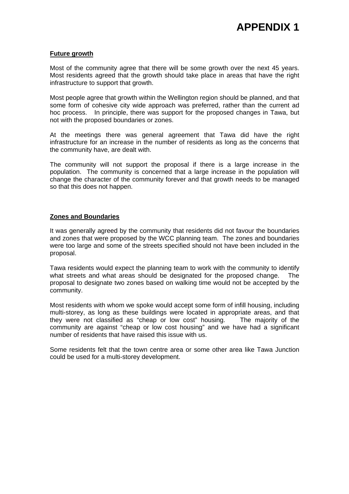#### **Future growth**

Most of the community agree that there will be some growth over the next 45 years. Most residents agreed that the growth should take place in areas that have the right infrastructure to support that growth.

Most people agree that growth within the Wellington region should be planned, and that some form of cohesive city wide approach was preferred, rather than the current ad hoc process. In principle, there was support for the proposed changes in Tawa, but not with the proposed boundaries or zones.

At the meetings there was general agreement that Tawa did have the right infrastructure for an increase in the number of residents as long as the concerns that the community have, are dealt with.

The community will not support the proposal if there is a large increase in the population. The community is concerned that a large increase in the population will change the character of the community forever and that growth needs to be managed so that this does not happen.

#### **Zones and Boundaries**

It was generally agreed by the community that residents did not favour the boundaries and zones that were proposed by the WCC planning team. The zones and boundaries were too large and some of the streets specified should not have been included in the proposal.

Tawa residents would expect the planning team to work with the community to identify what streets and what areas should be designated for the proposed change. The proposal to designate two zones based on walking time would not be accepted by the community.

Most residents with whom we spoke would accept some form of infill housing, including multi-storey, as long as these buildings were located in appropriate areas, and that they were not classified as "cheap or low cost" housing. The majority of the community are against "cheap or low cost housing" and we have had a significant number of residents that have raised this issue with us.

Some residents felt that the town centre area or some other area like Tawa Junction could be used for a multi-storey development.